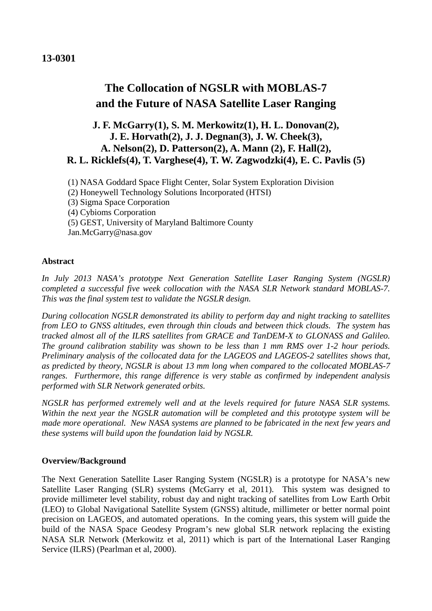### **13-0301**

# **The Collocation of NGSLR with MOBLAS-7 and the Future of NASA Satellite Laser Ranging**

## **J. F. McGarry(1), S. M. Merkowitz(1), H. L. Donovan(2), J. E. Horvath(2), J. J. Degnan(3), J. W. Cheek(3), A. Nelson(2), D. Patterson(2), A. Mann (2), F. Hall(2), R. L. Ricklefs(4), T. Varghese(4), T. W. Zagwodzki(4), E. C. Pavlis (5)**

(1) NASA Goddard Space Flight Center, Solar System Exploration Division

- (2) Honeywell Technology Solutions Incorporated (HTSI)
- (3) Sigma Space Corporation
- (4) Cybioms Corporation
- (5) GEST, University of Maryland Baltimore County

Jan.McGarry@nasa.gov

#### **Abstract**

*In July 2013 NASA's prototype Next Generation Satellite Laser Ranging System (NGSLR) completed a successful five week collocation with the NASA SLR Network standard MOBLAS-7. This was the final system test to validate the NGSLR design.*

*During collocation NGSLR demonstrated its ability to perform day and night tracking to satellites from LEO to GNSS altitudes, even through thin clouds and between thick clouds. The system has tracked almost all of the ILRS satellites from GRACE and TanDEM-X to GLONASS and Galileo. The ground calibration stability was shown to be less than 1 mm RMS over 1-2 hour periods. Preliminary analysis of the collocated data for the LAGEOS and LAGEOS-2 satellites shows that, as predicted by theory, NGSLR is about 13 mm long when compared to the collocated MOBLAS-7 ranges. Furthermore, this range difference is very stable as confirmed by independent analysis performed with SLR Network generated orbits.*

*NGSLR has performed extremely well and at the levels required for future NASA SLR systems. Within the next year the NGSLR automation will be completed and this prototype system will be made more operational. New NASA systems are planned to be fabricated in the next few years and these systems will build upon the foundation laid by NGSLR.*

#### **Overview/Background**

The Next Generation Satellite Laser Ranging System (NGSLR) is a prototype for NASA's new Satellite Laser Ranging (SLR) systems (McGarry et al, 2011). This system was designed to provide millimeter level stability, robust day and night tracking of satellites from Low Earth Orbit (LEO) to Global Navigational Satellite System (GNSS) altitude, millimeter or better normal point precision on LAGEOS, and automated operations. In the coming years, this system will guide the build of the NASA Space Geodesy Program's new global SLR network replacing the existing NASA SLR Network (Merkowitz et al, 2011) which is part of the International Laser Ranging Service (ILRS) (Pearlman et al, 2000).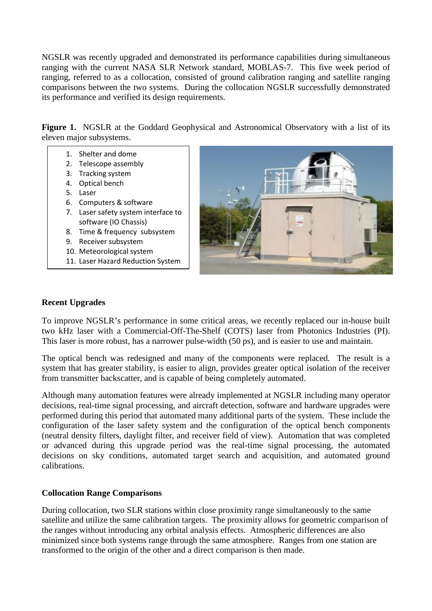NGSLR was recently upgraded and demonstrated its performance capabilities during simultaneous ranging with the current NASA SLR Network standard, MOBLAS-7. This five week period of ranging, referred to as a collocation, consisted of ground calibration ranging and satellite ranging comparisons between the two systems. During the collocation NGSLR successfully demonstrated its performance and verified its design requirements.

Figure 1. NGSLR at the Goddard Geophysical and Astronomical Observatory with a list of its eleven major subsystems.

- 1. Shelter and dome
- 2. Telescope assembly
- 3. Tracking system
- 4. Optical bench
- 5. Laser
- 6. Computers & software
- 7. Laser safety system interface to software (IO Chassis)
- 8. Time & frequency subsystem
- 9. Receiver subsystem
- 10. Meteorological system
- 11. Laser Hazard Reduction System



#### **Recent Upgrades**

To improve NGSLR's performance in some critical areas, we recently replaced our in-house built two kHz laser with a Commercial-Off-The-Shelf (COTS) laser from Photonics Industries (PI). This laser is more robust, has a narrower pulse-width (50 ps), and is easier to use and maintain.

The optical bench was redesigned and many of the components were replaced. The result is a system that has greater stability, is easier to align, provides greater optical isolation of the receiver from transmitter backscatter, and is capable of being completely automated.

Although many automation features were already implemented at NGSLR including many operator decisions, real-time signal processing, and aircraft detection, software and hardware upgrades were performed during this period that automated many additional parts of the system. These include the configuration of the laser safety system and the configuration of the optical bench components (neutral density filters, daylight filter, and receiver field of view). Automation that was completed or advanced during this upgrade period was the real-time signal processing, the automated decisions on sky conditions, automated target search and acquisition, and automated ground calibrations.

#### **Collocation Range Comparisons**

During collocation, two SLR stations within close proximity range simultaneously to the same satellite and utilize the same calibration targets. The proximity allows for geometric comparison of the ranges without introducing any orbital analysis effects. Atmospheric differences are also minimized since both systems range through the same atmosphere. Ranges from one station are transformed to the origin of the other and a direct comparison is then made.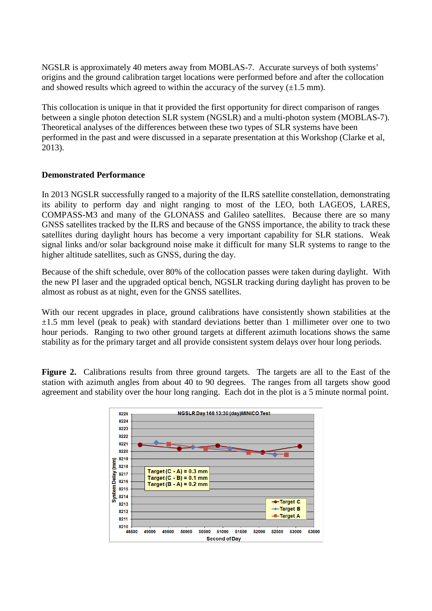NGSLR is approximately 40 meters away from MOBLAS-7. Accurate surveys of both systems' origins and the ground calibration target locations were performed before and after the collocation and showed results which agreed to within the accuracy of the survey  $(\pm 1.5 \text{ mm})$ .

This collocation is unique in that it provided the first opportunity for direct comparison of ranges between a single photon detection SLR system (NGSLR) and a multi-photon system (MOBLAS-7). Theoretical analyses of the differences between these two types of SLR systems have been performed in the past and were discussed in a separate presentation at this Workshop (Clarke et al, 2013).

#### **Demonstrated Performance**

In 2013 NGSLR successfully ranged to a majority of the ILRS satellite constellation, demonstrating its ability to perform day and night ranging to most of the LEO, both LAGEOS, LARES, COMPASS-M3 and many of the GLONASS and Galileo satellites. Because there are so many GNSS satellites tracked by the ILRS and because of the GNSS importance, the ability to track these satellites during daylight hours has become a very important capability for SLR stations. Weak signal links and/or solar background noise make it difficult for many SLR systems to range to the higher altitude satellites, such as GNSS, during the day.

Because of the shift schedule, over 80% of the collocation passes were taken during daylight. With the new PI laser and the upgraded optical bench, NGSLR tracking during daylight has proven to be almost as robust as at night, even for the GNSS satellites.

With our recent upgrades in place, ground calibrations have consistently shown stabilities at the  $\pm 1.5$  mm level (peak to peak) with standard deviations better than 1 millimeter over one to two hour periods. Ranging to two other ground targets at different azimuth locations shows the same stability as for the primary target and all provide consistent system delays over hour long periods.

**Figure 2.** Calibrations results from three ground targets. The targets are all to the East of the station with azimuth angles from about 40 to 90 degrees. The ranges from all targets show good agreement and stability over the hour long ranging. Each dot in the plot is a 5 minute normal point.

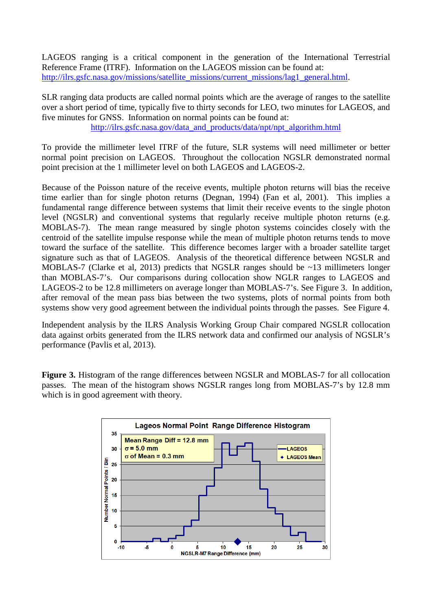LAGEOS ranging is a critical component in the generation of the International Terrestrial Reference Frame (ITRF). Information on the LAGEOS mission can be found at: [http://ilrs.gsfc.nasa.gov/missions/satellite\\_missions/current\\_missions/lag1\\_general.html.](http://ilrs.gsfc.nasa.gov/missions/satellite_missions/current_missions/lag1_general.html)

SLR ranging data products are called normal points which are the average of ranges to the satellite over a short period of time, typically five to thirty seconds for LEO, two minutes for LAGEOS, and five minutes for GNSS. Information on normal points can be found at: [http://ilrs.gsfc.nasa.gov/data\\_and\\_products/data/npt/npt\\_algorithm.html](http://ilrs.gsfc.nasa.gov/data_and_products/data/npt/npt_algorithm.html)

To provide the millimeter level ITRF of the future, SLR systems will need millimeter or better normal point precision on LAGEOS. Throughout the collocation NGSLR demonstrated normal point precision at the 1 millimeter level on both LAGEOS and LAGEOS-2.

Because of the Poisson nature of the receive events, multiple photon returns will bias the receive time earlier than for single photon returns (Degnan, 1994) (Fan et al, 2001). This implies a fundamental range difference between systems that limit their receive events to the single photon level (NGSLR) and conventional systems that regularly receive multiple photon returns (e.g. MOBLAS-7). The mean range measured by single photon systems coincides closely with the centroid of the satellite impulse response while the mean of multiple photon returns tends to move toward the surface of the satellite. This difference becomes larger with a broader satellite target signature such as that of LAGEOS. Analysis of the theoretical difference between NGSLR and MOBLAS-7 (Clarke et al, 2013) predicts that NGSLR ranges should be ~13 millimeters longer than MOBLAS-7's. Our comparisons during collocation show NGLR ranges to LAGEOS and LAGEOS-2 to be 12.8 millimeters on average longer than MOBLAS-7's. See Figure 3. In addition, after removal of the mean pass bias between the two systems, plots of normal points from both systems show very good agreement between the individual points through the passes. See Figure 4.

Independent analysis by the ILRS Analysis Working Group Chair compared NGSLR collocation data against orbits generated from the ILRS network data and confirmed our analysis of NGSLR's performance (Pavlis et al, 2013).

**Figure 3.** Histogram of the range differences between NGSLR and MOBLAS-7 for all collocation passes. The mean of the histogram shows NGSLR ranges long from MOBLAS-7's by 12.8 mm which is in good agreement with theory.

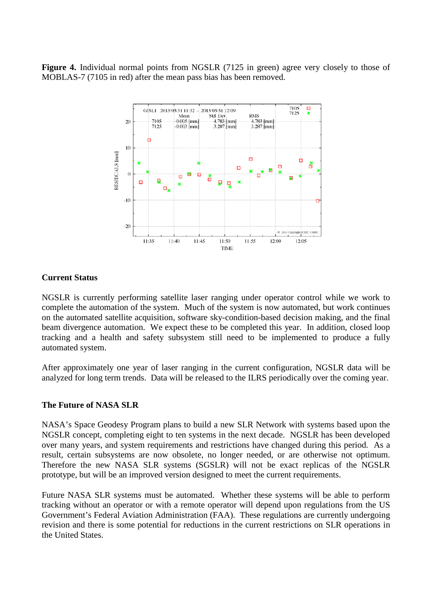Figure 4. Individual normal points from NGSLR (7125 in green) agree very closely to those of MOBLAS-7 (7105 in red) after the mean pass bias has been removed.



#### **Current Status**

NGSLR is currently performing satellite laser ranging under operator control while we work to complete the automation of the system. Much of the system is now automated, but work continues on the automated satellite acquisition, software sky-condition-based decision making, and the final beam divergence automation. We expect these to be completed this year. In addition, closed loop tracking and a health and safety subsystem still need to be implemented to produce a fully automated system.

After approximately one year of laser ranging in the current configuration, NGSLR data will be analyzed for long term trends. Data will be released to the ILRS periodically over the coming year.

#### **The Future of NASA SLR**

NASA's Space Geodesy Program plans to build a new SLR Network with systems based upon the NGSLR concept, completing eight to ten systems in the next decade. NGSLR has been developed over many years, and system requirements and restrictions have changed during this period. As a result, certain subsystems are now obsolete, no longer needed, or are otherwise not optimum. Therefore the new NASA SLR systems (SGSLR) will not be exact replicas of the NGSLR prototype, but will be an improved version designed to meet the current requirements.

Future NASA SLR systems must be automated. Whether these systems will be able to perform tracking without an operator or with a remote operator will depend upon regulations from the US Government's Federal Aviation Administration (FAA). These regulations are currently undergoing revision and there is some potential for reductions in the current restrictions on SLR operations in the United States.